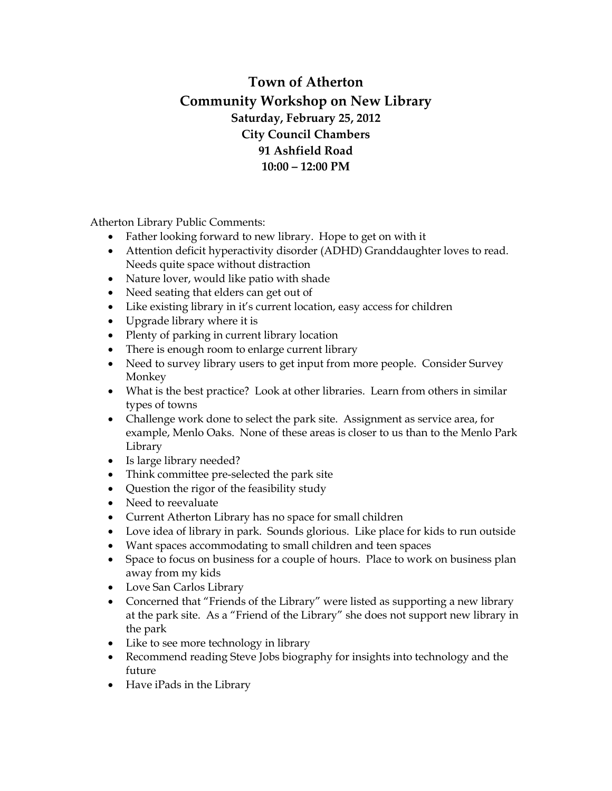## **Town of Atherton Community Workshop on New Library Saturday, February 25, 2012 City Council Chambers 91 Ashfield Road 10:00 – 12:00 PM**

Atherton Library Public Comments:

- Father looking forward to new library. Hope to get on with it
- Attention deficit hyperactivity disorder (ADHD) Granddaughter loves to read. Needs quite space without distraction
- Nature lover, would like patio with shade
- Need seating that elders can get out of
- Like existing library in it's current location, easy access for children
- Upgrade library where it is
- Plenty of parking in current library location
- There is enough room to enlarge current library
- Need to survey library users to get input from more people. Consider Survey Monkey
- What is the best practice? Look at other libraries. Learn from others in similar types of towns
- Challenge work done to select the park site. Assignment as service area, for example, Menlo Oaks. None of these areas is closer to us than to the Menlo Park Library
- Is large library needed?
- Think committee pre-selected the park site
- Question the rigor of the feasibility study
- Need to reevaluate
- Current Atherton Library has no space for small children
- Love idea of library in park. Sounds glorious. Like place for kids to run outside
- Want spaces accommodating to small children and teen spaces
- Space to focus on business for a couple of hours. Place to work on business plan away from my kids
- Love San Carlos Library
- Concerned that "Friends of the Library" were listed as supporting a new library at the park site. As a "Friend of the Library" she does not support new library in the park
- Like to see more technology in library
- Recommend reading Steve Jobs biography for insights into technology and the future
- Have iPads in the Library